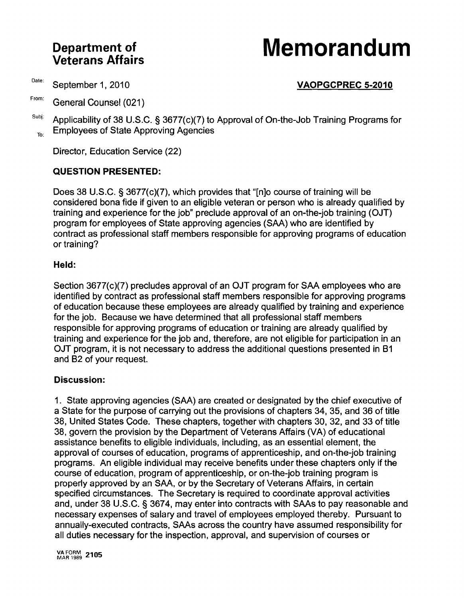## **Veterans Affairs Department**

# **of Memorandum**

### Date: September 1, 2010 **VAOPGCPREC 5-2010**

From: General Counsel (021)

 $S^{ubji}$  Applicability of 38 U.S.C. § 3677(c)(7) to Approval of On-the-Job Training Programs for  $T<sub>TO</sub>$  Employees of State Approving Agencies

Director, Education Service (22)

#### **QUESTION PRESENTED:**

Does 38 U.S.C. § 3677(c)(7), which provides that "[nlo course of training will be considered bona fide if given to an eligible veteran or person who is already qualified by training and experience for the job" preclude approval of an on-the-job training (OJT) program for employees of State approving agencies (SAA) who are identified by contract as professional staff members responsible for approving programs of education or training?

#### **Held:**

Section 3677(c)(7) precludes approval of an OJT program for SAA employees who are identified by contract as professional staff members responsible for approving programs of education because these employees are already qualified by training and experience for the job. Because we have determined that all professional staff members responsible for approving programs of education or training are already qualified by training and experience for the job and, therefore, are not eligible for participation in an OJT program, it is not necessary to address the additional questions presented in B1 and B2 of your request.

#### **Discussion:**

1. State approving agencies (SAA) are created or designated by the chief executive of a State for the purpose of carrying out the provisions of chapters 34, 35, and 36 of title 38, United States Code. These chapters, together with chapters 30, 32, and 33 of title 38, govern the provision by the Department of Veterans Affairs (VA) of educational assistance benefits to eligible individuals, including, as an essential element, the approval of courses of education, programs of apprenticeship, and on-the-job training programs. An eligible individual may receive benefits under these chapters only if the course of education, program of apprenticeship, or on-the-job training program is properly approved by an SAA, or by the Secretary of Veterans Affairs, in certain specified circumstances. The Secretary is required to coordinate approval activities and, under 38 U.S.C. § 3674, may enter into contracts with SAAs to pay reasonable and necessary expenses of salary and travel of employees employed thereby. Pursuant to annually-executed contracts, SAAs across the country have assumed responsibility for all duties necessary for the inspection, approval, and supervision of courses or

VA FORM 2105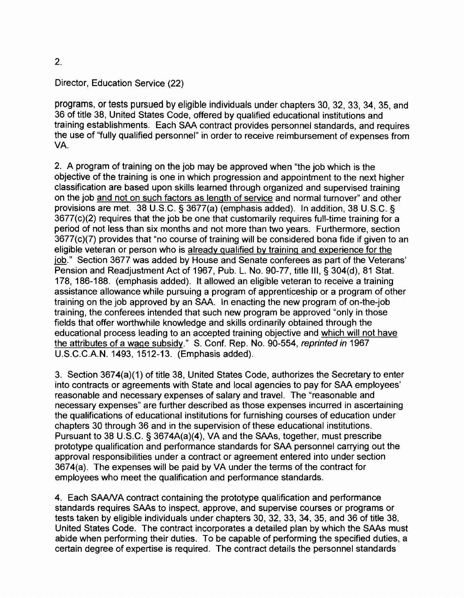#### Director, Education Service (22)

programs, or tests pursued by eligible individuals under chapters 30, 32, 33, 34, 35, and 36 of title 38, United States Code, offered by qualified educational institutions and training establishments. Each SAA contract provides personnel standards, and requires the use of "fully qualified personnel" in order to receive reimbursement of expenses from VA.

2. A program of training on the job may be approved when "the job which is the objective of the training is one in which progression and appointment to the next higher classification are based upon skills learned through organized and supervised training on the job and not on such factors as length of service and normal turnover" and other provisions are met. 38 U.S.C. § 3677(a) (emphasis added). In addition, 38 U.S.C. § 3677(c)(2) requires that the job be one that customarily requires full-time training for a period of not less than six months and not more than two years. Furthermore, section 3677(c)(7) provides that "no course of training will be considered bona fide if given to an eligible veteran or person who is already qualified by training and experience for the job." Section 3677 was added by House and Senate conferees as part of the Veterans' Pension and Readjustment Act of 1967, Pub. L. No. 90-77, title III, § 304(d), 81 Stat. 178, 186-188. (emphasis added). It allowed an eligible veteran to receive a training assistance allowance while pursuing a program of apprenticeship or a program of other training on the job approved by an SAA. In enacting the new program of on-the-job training, the conferees intended that such new program be approved "only in those fields that offer worthwhile knowledge and skills ordinarily obtained through the educational process leading to an accepted training objective and which will not have the attributes of a wage subsidy." S. Conf. Rep. No. 90-554, reprinted in 1967 U.S.C.C.A.N. 1493, 1512-13. (Emphasis added).

3. Section 3674(a)(1) of title 38, United States Code, authorizes the Secretary to enter into contracts or agreements with State and local agencies to pay for SAA employees' reasonable and necessary expenses of salary and travel. The "reasonable and necessary expenses" are further described as those expenses incurred in ascertaining the qualifications of educational institutions for furnishing courses of education under chapters 30 through 36 and in the supervision of these educational institutions. Pursuant to 38 U.S.C. § 3674A(a)(4), VA and the SAAs, together, must prescribe prototype qualification and performance standards for SAA personnel carrying out the approval responsibilities under a contract or agreement entered into under section 3674(a). The expenses will be paid by VA under the terms of the contract for employees who meet the qualification and performance standards.

4. Each SAANA contract containing the prototype qualification and performance standards requires SAAs to inspect, approve, and supervise courses or programs or tests taken by eligible individuals under chapters 30, 32, 33, 34, 35, and 36 of title 38, United States Code. The contract incorporates a detailed plan by which the SAAs must abide when performing their duties. To be capable of performing the specified duties, a certain degree of expertise is required. The contract details the personnel standards

2.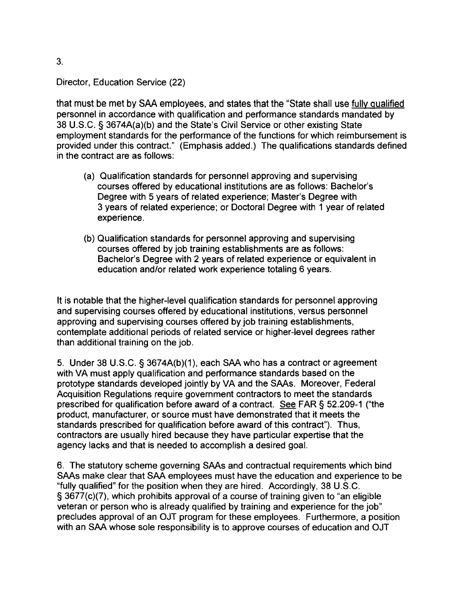#### Director, Education Service (22)

that must be met by SAA employees, and states that the "State shall use fully qualified personnel in accordance with qualification and performance standards mandated by 38 U.S.C. § 3674A(a)(b) and the State's Civil Service or other existing State employment standards for the performance of the functions for which reimbursement is provided under this contract." (Emphasis added.) The qualifications standards defined in the contract are as follows:

- (a) Qualification standards for personnel approving and supervising courses offered by educational institutions are as follows: Bachelor's Degree with 5 years of related experience; Master's Degree with 3 years of related experience; or Doctoral Degree with 1 year of related experience.
- (b) Qualification standards for personnel approving and supervising courses offered by job training establishments are as follows: Bachelor's Degree with 2 years of related experience or equivalent in education and/or related work experience totaling 6 years.

It is notable that the higher-level qualification standards for personnel approving and supervising courses offered by educational institutions, versus personnel approving and supervising courses offered by job training establishments, contemplate additional periods of related service or higher-level degrees rather than additional training on the job.

5. Under 38 U.S.C. § 3674A(b)(1), each SAA who has a contract or agreement with VA must apply qualification and performance standards based on the prototype standards developed jointly by VA and the SAAs. Moreover, Federal Acquisition Regulations require government contractors to meet the standards prescribed for qualification before award of a contract. See FAR § 52.209-1 ("the product, manufacturer, or source must have demonstrated that it meets the standards prescribed for qualification before award of this contract"). Thus, contractors are usually hired because they have particular expertise that the agency lacks and that is needed to accomplish a desired goal.

6. The statutory scheme governing SAAs and contractual requirements which bind SAAs make clear that SAA employees must have the education and experience to be "fUlly qualified" for the position when they are hired. Accordingly, 38 U.S.C. § 3677(c)(7), which prohibits approval of a course of training given to "an eligible veteran or person who is already qualified by training and experience for the job" precludes approval of an OJT program for these employees. Furthermore, a position with an SAA whose sole responsibility is to approve courses of education and OJT

3.